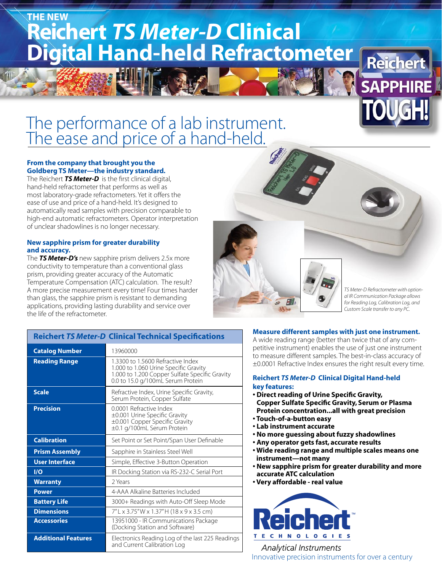# **Reichert** *TS Meter-D* **Clinical****Digital Hand-held Refractometer THE NEW**

## The performance of a lab instrument. The ease and price of a hand-held.

#### **From the company that brought you the Goldberg TS Meter—the industry standard.**

The Reichert *TS Meter-D* is the first clinical digital, hand-held refractometer that performs as well as most laboratory-grade refractometers. Yet it offers the ease of use and price of a hand-held. It's designed to automatically read samples with precision comparable to high-end automatic refractometers. Operator interpretation of unclear shadowlines is no longer necessary.

#### **New sapphire prism for greater durability and accuracy.**

The *TS Meter-D's* new sapphire prism delivers 2.5x more conductivity to temperature than a conventional glass prism, providing greater accuracy of the Automatic Temperature Compensation (ATC) calculation. The result? A more precise measurement every time! Four times harder than glass, the sapphire prism is resistant to demanding applications, providing lasting durability and service over the life of the refractometer.

**Reichert** *TS Meter-D* **Clinical Technical Specifications**



*TS Meter-D Refractometer with optional IR Communication Package allows for Reading Log, Calibration Log, and Custom Scale transfer to any PC.*

| <b>Catalog Number</b>   | 13960000                                                                                                                                                          |
|-------------------------|-------------------------------------------------------------------------------------------------------------------------------------------------------------------|
| <b>Reading Range</b>    | 1.3300 to 1.5600 Refractive Index<br>1.000 to 1.060 Urine Specific Gravity<br>1.000 to 1.200 Copper Sulfate Specific Gravity<br>0.0 to 15.0 g/100mL Serum Protein |
| <b>Scale</b>            | Refractive Index, Urine Specific Gravity,<br>Serum Protein, Copper Sulfate                                                                                        |
| <b>Precision</b>        | 0.0001 Refractive Index<br>±0.001 Urine Specific Gravity<br>±0.001 Copper Specific Gravity<br>±0.1 g/100mL Serum Protein                                          |
| <b>Calibration</b>      | Set Point or Set Point/Span User Definable                                                                                                                        |
| <b>Prism Assembly</b>   | Sapphire in Stainless Steel Well                                                                                                                                  |
| <b>User Interface</b>   | Simple, Effective 3-Button Operation                                                                                                                              |
| $\mathsf{I}/\mathsf{O}$ | IR Docking Station via RS-232-C Serial Port                                                                                                                       |
| <b>Warranty</b>         | 2 Years                                                                                                                                                           |
| <b>Power</b>            | 4-AAA Alkaline Batteries Included                                                                                                                                 |
| <b>Battery Life</b>     | 3000+ Readings with Auto-Off Sleep Mode                                                                                                                           |
| <b>Dimensions</b>       | 7" L x 3.75" W x 1.37" H (18 x 9 x 3.5 cm)                                                                                                                        |
| <b>Accessories</b>      | 13951000 - IR Communications Package<br>(Docking Station and Software)                                                                                            |

**Additional Features** Electronics Reading Log of the last 225 Readings<br>and Current Calibration Log

#### **Measure different samples with just one instrument.**

A wide reading range (better than twice that of any competitive instrument) enables the use of just one instrument to measure different samples. The best-in-class accuracy of ±0.0001 Refractive Index ensures the right result every time.

#### **Reichert** *TS Meter-D* **Clinical Digital Hand-held key features:**

- **Direct reading of Urine Specific Gravity, Copper Sulfate Specific Gravity, Serum or Plasma Protein concentration...all with great precision**
- **Touch-of-a-button easy**
- **Lab instrument accurate**
- **No more guessing about fuzzy shadowlines**
- **Any operator gets fast, accurate results**
- **Wide reading range and multiple scales means one instrument—not many**
- **New sapphire prism for greater durability and more accurate ATC calculation**
- **Very affordable real value**



**Analytical Instruments** Innovative precision instruments for over a century